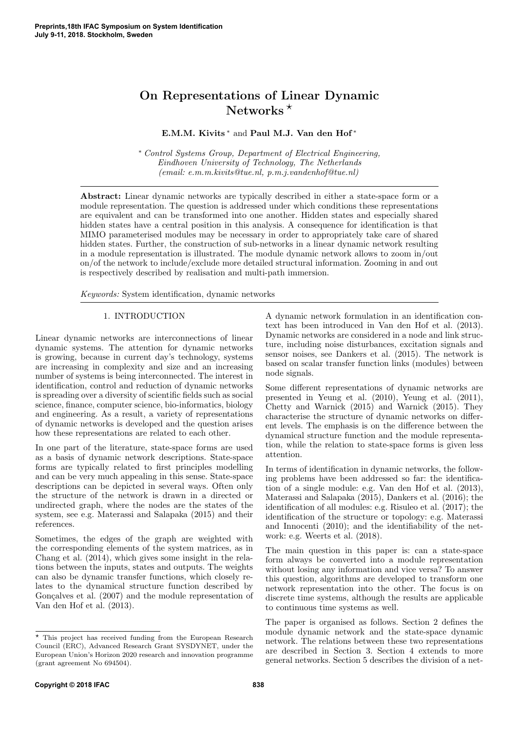# On Representations of Linear Dynamic Networks  $*$

# E.M.M. Kivits<sup>\*</sup> and Paul M.J. Van den Hof<sup>\*</sup>

<sup>∗</sup> Control Systems Group, Department of Electrical Engineering, Eindhoven University of Technology, The Netherlands (email: e.m.m.kivits@tue.nl, p.m.j.vandenhof@tue.nl)

Abstract: Linear dynamic networks are typically described in either a state-space form or a module representation. The question is addressed under which conditions these representations are equivalent and can be transformed into one another. Hidden states and especially shared hidden states have a central position in this analysis. A consequence for identification is that MIMO parameterised modules may be necessary in order to appropriately take care of shared hidden states. Further, the construction of sub-networks in a linear dynamic network resulting in a module representation is illustrated. The module dynamic network allows to zoom in/out on/of the network to include/exclude more detailed structural information. Zooming in and out is respectively described by realisation and multi-path immersion.

Keywords: System identification, dynamic networks

### 1. INTRODUCTION

Linear dynamic networks are interconnections of linear dynamic systems. The attention for dynamic networks is growing, because in current day's technology, systems are increasing in complexity and size and an increasing number of systems is being interconnected. The interest in identification, control and reduction of dynamic networks is spreading over a diversity of scientific fields such as social science, finance, computer science, bio-informatics, biology and engineering. As a result, a variety of representations of dynamic networks is developed and the question arises how these representations are related to each other.

In one part of the literature, state-space forms are used as a basis of dynamic network descriptions. State-space forms are typically related to first principles modelling and can be very much appealing in this sense. State-space descriptions can be depicted in several ways. Often only the structure of the network is drawn in a directed or undirected graph, where the nodes are the states of the system, see e.g. Materassi and Salapaka (2015) and their references.

Sometimes, the edges of the graph are weighted with the corresponding elements of the system matrices, as in Chang et al. (2014), which gives some insight in the relations between the inputs, states and outputs. The weights can also be dynamic transfer functions, which closely relates to the dynamical structure function described by Gonçalves et al.  $(2007)$  and the module representation of Van den Hof et al. (2013).

A dynamic network formulation in an identification context has been introduced in Van den Hof et al. (2013). Dynamic networks are considered in a node and link structure, including noise disturbances, excitation signals and sensor noises, see Dankers et al. (2015). The network is based on scalar transfer function links (modules) between node signals.

Some different representations of dynamic networks are presented in Yeung et al. (2010), Yeung et al. (2011), Chetty and Warnick (2015) and Warnick (2015). They characterise the structure of dynamic networks on different levels. The emphasis is on the difference between the dynamical structure function and the module representation, while the relation to state-space forms is given less attention.

In terms of identification in dynamic networks, the following problems have been addressed so far: the identification of a single module: e.g. Van den Hof et al. (2013), Materassi and Salapaka (2015), Dankers et al. (2016); the identification of all modules: e.g. Risuleo et al. (2017); the identification of the structure or topology: e.g. Materassi and Innocenti (2010); and the identifiability of the network: e.g. Weerts et al. (2018).

The main question in this paper is: can a state-space form always be converted into a module representation without losing any information and vice versa? To answer this question, algorithms are developed to transform one network representation into the other. The focus is on discrete time systems, although the results are applicable to continuous time systems as well.

The paper is organised as follows. Section 2 defines the module dynamic network and the state-space dynamic network. The relations between these two representations are described in Section 3. Section 4 extends to more general networks. Section 5 describes the division of a net-

 $^\star$  This project has received funding from the European Research Council (ERC), Advanced Research Grant SYSDYNET, under the European Union's Horizon 2020 research and innovation programme (grant agreement No 694504).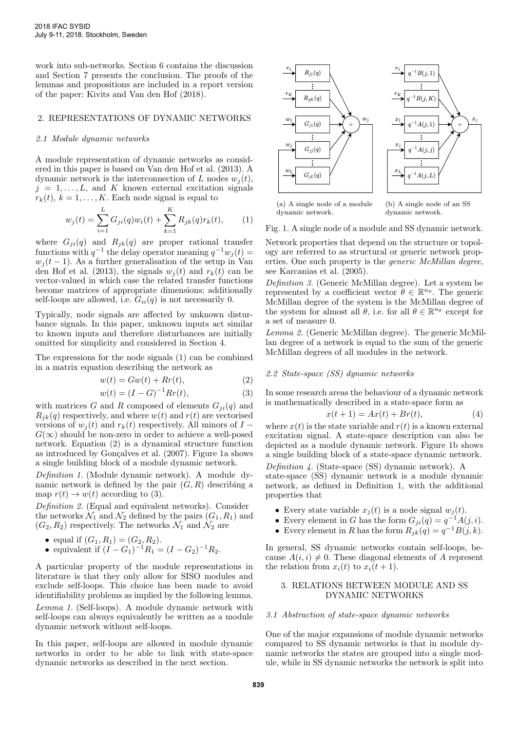work into sub-networks. Section 6 contains the discussion and Section 7 presents the conclusion. The proofs of the lemmas and propositions are included in a report version of the paper: Kivits and Van den Hof (2018).

# 2. REPRESENTATIONS OF DYNAMIC NETWORKS

### 2.1 Module dynamic networks

A module representation of dynamic networks as considered in this paper is based on Van den Hof et al. (2013). A dynamic network is the interconnection of L nodes  $w_i(t)$ ,  $j = 1, \ldots, L$ , and K known external excitation signals  $r_k(t), k = 1, \ldots, K$ . Each node signal is equal to

$$
w_j(t) = \sum_{i=1}^{L} G_{ji}(q)w_i(t) + \sum_{k=1}^{K} R_{jk}(q)r_k(t),
$$
 (1)

where  $G_{ji}(q)$  and  $R_{jk}(q)$  are proper rational transfer functions with  $q^{-1}$  the delay operator meaning  $q^{-1}w_j(t) =$  $w_i(t-1)$ . As a further generalisation of the setup in Van den Hof et al. (2013), the signals  $w_i(t)$  and  $r_k(t)$  can be vector-valued in which case the related transfer functions become matrices of appropriate dimensions; additionally self-loops are allowed, i.e.  $G_{ii}(q)$  is not necessarily 0.

Typically, node signals are affected by unknown disturbance signals. In this paper, unknown inputs act similar to known inputs and therefore disturbances are initially omitted for simplicity and considered in Section 4.

The expressions for the node signals (1) can be combined in a matrix equation describing the network as

$$
w(t) = Gw(t) + Rr(t),
$$
\n(2)

$$
w(t) = (I - G)^{-1} Rr(t),
$$
\n(3)

with matrices G and R composed of elements  $G_{ii}(q)$  and  $R_{ik}(q)$  respectively, and where  $w(t)$  and  $r(t)$  are vectorised versions of  $w_i(t)$  and  $r_k(t)$  respectively. All minors of  $I$  –  $G(\infty)$  should be non-zero in order to achieve a well-posed network. Equation (2) is a dynamical structure function as introduced by Gonçalves et al.  $(2007)$ . Figure 1a shows a single building block of a module dynamic network.

Definition 1. (Module dynamic network). A module dynamic network is defined by the pair  $(G, R)$  describing a map  $r(t) \rightarrow w(t)$  according to (3).

Definition 2. (Equal and equivalent networks). Consider the networks  $\mathcal{N}_1$  and  $\mathcal{N}_2$  defined by the pairs  $(G_1, R_1)$  and  $(G_2, R_2)$  respectively. The networks  $\mathcal{N}_1$  and  $\mathcal{N}_2$  are

\n- equal if 
$$
(G_1, R_1) = (G_2, R_2)
$$
.
\n- equivalent if  $(I - G_1)^{-1}R_1 = (I - G_2)^{-1}R_2$ .
\n

A particular property of the module representations in literature is that they only allow for SISO modules and exclude self-loops. This choice has been made to avoid identifiability problems as implied by the following lemma.

Lemma 1. (Self-loops). A module dynamic network with self-loops can always equivalently be written as a module dynamic network without self-loops.

In this paper, self-loops are allowed in module dynamic networks in order to be able to link with state-space dynamic networks as described in the next section.



(a) A single node of a module

(b) A single node of an SS dynamic network.

Fig. 1. A single node of a module and SS dynamic network.

Network properties that depend on the structure or topology are referred to as structural or generic network properties. One such property is the generic McMillan degree, see Karcanias et al. (2005).

Definition 3. (Generic McMillan degree). Let a system be represented by a coefficient vector  $\theta \in \mathbb{R}^{n_{\theta}}$ . The generic McMillan degree of the system is the McMillan degree of the system for almost all  $\theta$ , i.e. for all  $\theta \in \mathbb{R}^{n_{\theta}}$  except for a set of measure 0.

Lemma 2. (Generic McMillan degree). The generic McMillan degree of a network is equal to the sum of the generic McMillan degrees of all modules in the network.

#### 2.2 State-space (SS) dynamic networks

In some research areas the behaviour of a dynamic network is mathematically described in a state-space form as

$$
x(t+1) = Ax(t) + Br(t),\tag{4}
$$

where  $x(t)$  is the state variable and  $r(t)$  is a known external excitation signal. A state-space description can also be depicted as a module dynamic network. Figure 1b shows a single building block of a state-space dynamic network.

Definition 4. (State-space (SS) dynamic network). A state-space (SS) dynamic network is a module dynamic network, as defined in Definition 1, with the additional properties that

- Every state variable  $x_i(t)$  is a node signal  $w_i(t)$ .
- Every element in G has the form  $G_{ji}(q) = q^{-1}A(j, i)$ .
- Every element in R has the form  $R_{jk}(q) = q^{-1}B(j, k)$ .

In general, SS dynamic networks contain self-loops, because  $A(i, i) \neq 0$ . These diagonal elements of A represent the relation from  $x_i(t)$  to  $x_i(t+1)$ .

# 3. RELATIONS BETWEEN MODULE AND SS DYNAMIC NETWORKS

## 3.1 Abstraction of state-space dynamic networks

One of the major expansions of module dynamic networks compared to SS dynamic networks is that in module dynamic networks the states are grouped into a single module, while in SS dynamic networks the network is split into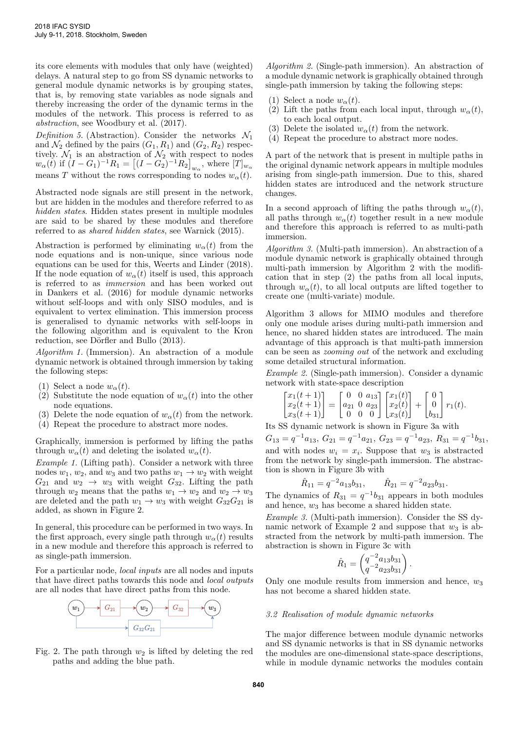its core elements with modules that only have (weighted) delays. A natural step to go from SS dynamic networks to general module dynamic networks is by grouping states, that is, by removing state variables as node signals and thereby increasing the order of the dynamic terms in the modules of the network. This process is referred to as abstraction, see Woodbury et al. (2017).

Definition 5. (Abstraction). Consider the networks  $\mathcal{N}_1$ and  $\mathcal{N}_2$  defined by the pairs  $(G_1, R_1)$  and  $(G_2, R_2)$  respectively.  $\mathcal{N}_1$  is an abstraction of  $\mathcal{N}_2$  with respect to nodes  $w_{\alpha}(\tilde{t})$  if  $(I - G_1)^{-1}R_1 = [(I - G_2)^{-1}R_2]_{w_{\alpha}}$ , where  $[T]_{w_{\alpha}}$ means T without the rows corresponding to nodes  $w_{\alpha}(t)$ .

Abstracted node signals are still present in the network, but are hidden in the modules and therefore referred to as hidden states. Hidden states present in multiple modules are said to be shared by these modules and therefore referred to as shared hidden states, see Warnick (2015).

Abstraction is performed by eliminating  $w_{\alpha}(t)$  from the node equations and is non-unique, since various node equations can be used for this, Weerts and Linder (2018). If the node equation of  $w_{\alpha}(t)$  itself is used, this approach is referred to as immersion and has been worked out in Dankers et al. (2016) for module dynamic networks without self-loops and with only SISO modules, and is equivalent to vertex elimination. This immersion process is generalised to dynamic networks with self-loops in the following algorithm and is equivalent to the Kron reduction, see Dörfler and Bullo (2013).

Algorithm 1. (Immersion). An abstraction of a module dynamic network is obtained through immersion by taking the following steps:

- (1) Select a node  $w_{\alpha}(t)$ .
- (2) Substitute the node equation of  $w_{\alpha}(t)$  into the other node equations.
- (3) Delete the node equation of  $w_\alpha(t)$  from the network.
- (4) Repeat the procedure to abstract more nodes.

Graphically, immersion is performed by lifting the paths through  $w_{\alpha}(t)$  and deleting the isolated  $w_{\alpha}(t)$ .

Example 1. (Lifting path). Consider a network with three nodes  $w_1, w_2$ , and  $w_3$  and two paths  $w_1 \rightarrow w_2$  with weight  $G_{21}$  and  $w_2 \rightarrow w_3$  with weight  $G_{32}$ . Lifting the path through  $w_2$  means that the paths  $w_1 \rightarrow w_2$  and  $w_2 \rightarrow w_3$ are deleted and the path  $w_1 \rightarrow w_3$  with weight  $G_{32}G_{21}$  is added, as shown in Figure 2.

In general, this procedure can be performed in two ways. In the first approach, every single path through  $w_{\alpha}(t)$  results in a new module and therefore this approach is referred to as single-path immersion.

For a particular node, local inputs are all nodes and inputs that have direct paths towards this node and local outputs are all nodes that have direct paths from this node.



Fig. 2. The path through  $w_2$  is lifted by deleting the red paths and adding the blue path.

Algorithm 2. (Single-path immersion). An abstraction of a module dynamic network is graphically obtained through single-path immersion by taking the following steps:

- (1) Select a node  $w_{\alpha}(t)$ .
- (2) Lift the paths from each local input, through  $w_{\alpha}(t)$ , to each local output.
- (3) Delete the isolated  $w_{\alpha}(t)$  from the network.
- (4) Repeat the procedure to abstract more nodes.

A part of the network that is present in multiple paths in the original dynamic network appears in multiple modules arising from single-path immersion. Due to this, shared hidden states are introduced and the network structure changes.

In a second approach of lifting the paths through  $w_{\alpha}(t)$ , all paths through  $w_{\alpha}(t)$  together result in a new module and therefore this approach is referred to as multi-path immersion.

Algorithm 3. (Multi-path immersion). An abstraction of a module dynamic network is graphically obtained through multi-path immersion by Algorithm 2 with the modification that in step (2) the paths from all local inputs, through  $w_{\alpha}(t)$ , to all local outputs are lifted together to create one (multi-variate) module.

Algorithm 3 allows for MIMO modules and therefore only one module arises during multi-path immersion and hence, no shared hidden states are introduced. The main advantage of this approach is that multi-path immersion can be seen as zooming out of the network and excluding some detailed structural information.

Example 2. (Single-path immersion). Consider a dynamic network with state-space description

$$
\begin{bmatrix} x_1(t+1) \\ x_2(t+1) \\ x_3(t+1) \end{bmatrix} = \begin{bmatrix} 0 & 0 & a_{13} \\ a_{21} & 0 & a_{23} \\ 0 & 0 & 0 \end{bmatrix} \begin{bmatrix} x_1(t) \\ x_2(t) \\ x_3(t) \end{bmatrix} + \begin{bmatrix} 0 \\ 0 \\ b_{31} \end{bmatrix} r_1(t).
$$

Its SS dynamic network is shown in Figure 3a with

 $G_{13} = q^{-1}a_{13}, G_{21} = q^{-1}a_{21}, G_{23} = q^{-1}a_{23}, R_{31} = q^{-1}b_{31},$ and with nodes  $w_i = x_i$ . Suppose that  $w_3$  is abstracted from the network by single-path immersion. The abstraction is shown in Figure 3b with

$$
\hat{R}_{11} = q^{-2} a_{13} b_{31}, \qquad \hat{R}_{21} = q^{-2} a_{23} b_{31}.
$$

The dynamics of  $R_{31} = q^{-1}b_{31}$  appears in both modules and hence,  $w_3$  has become a shared hidden state.

Example 3. (Multi-path immersion). Consider the SS dynamic network of Example 2 and suppose that  $w_3$  is abstracted from the network by multi-path immersion. The abstraction is shown in Figure 3c with

$$
\hat{R}_1 = \begin{pmatrix} q^{-2}a_{13}b_{31} \\ q^{-2}a_{23}b_{31} \end{pmatrix}.
$$

Only one module results from immersion and hence,  $w_3$ has not become a shared hidden state.

#### 3.2 Realisation of module dynamic networks

The major difference between module dynamic networks and SS dynamic networks is that in SS dynamic networks the modules are one-dimensional state-space descriptions, while in module dynamic networks the modules contain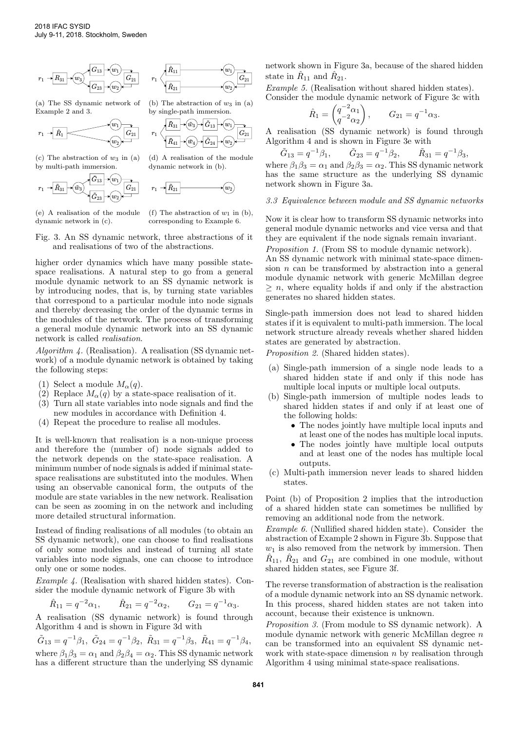

(a) The SS dynamic network of Example 2 and 3.



(c) The abstraction of  $w_3$  in (a) by multi-path immersion.

$$
r_1 \rightarrow \boxed{\tilde{R}_{31}} \rightarrow \boxed{\tilde{w}_3} \overbrace{\tilde{G}_{13}} \rightarrow \boxed{w_1} \overbrace{G_{21}} \overbrace{G_{21}}
$$



(b) The abstraction of  $w_3$  in  $(a)$ by single-path immersion.



(d) A realisation of the module dynamic network in (b).



(e) A realisation of the module dynamic network in (c).

(f) The abstraction of  $w_1$  in (b). corresponding to Example 6.

Fig. 3. An SS dynamic network, three abstractions of it and realisations of two of the abstractions.

higher order dynamics which have many possible statespace realisations. A natural step to go from a general module dynamic network to an SS dynamic network is by introducing nodes, that is, by turning state variables that correspond to a particular module into node signals and thereby decreasing the order of the dynamic terms in the modules of the network. The process of transforming a general module dynamic network into an SS dynamic network is called realisation.

Algorithm 4. (Realisation). A realisation (SS dynamic network) of a module dynamic network is obtained by taking the following steps:

- (1) Select a module  $M_{\alpha}(q)$ .
- (2) Replace  $M_{\alpha}(q)$  by a state-space realisation of it.
- (3) Turn all state variables into node signals and find the new modules in accordance with Definition 4.
- (4) Repeat the procedure to realise all modules.

It is well-known that realisation is a non-unique process and therefore the (number of) node signals added to the network depends on the state-space realisation. A minimum number of node signals is added if minimal statespace realisations are substituted into the modules. When using an observable canonical form, the outputs of the module are state variables in the new network. Realisation can be seen as zooming in on the network and including more detailed structural information.

Instead of finding realisations of all modules (to obtain an SS dynamic network), one can choose to find realisations of only some modules and instead of turning all state variables into node signals, one can choose to introduce only one or some nodes.

Example 4. (Realisation with shared hidden states). Consider the module dynamic network of Figure 3b with

$$
\hat{R}_{11} = q^{-2} \alpha_1, \qquad \hat{R}_{21} = q^{-2} \alpha_2, \qquad G_{21} = q^{-1} \alpha_3.
$$

A realisation (SS dynamic network) is found through Algorithm 4 and is shown in Figure 3d with

 $\tilde{G}_{13} = q^{-1}\beta_1, \ \tilde{G}_{24} = q^{-1}\beta_2, \ \tilde{R}_{31} = q^{-1}\beta_3, \ \tilde{R}_{41} = q^{-1}\beta_4,$ where  $\beta_1 \beta_3 = \alpha_1$  and  $\beta_2 \beta_4 = \alpha_2$ . This SS dynamic network has a different structure than the underlying SS dynamic network shown in Figure 3a, because of the shared hidden state in  $\hat{R}_{11}$  and  $\hat{R}_{21}$ .

Example 5. (Realisation without shared hidden states). Consider the module dynamic network of Figure 3c with

$$
\hat{R}_1 = \begin{pmatrix} q^{-2} \alpha_1 \\ q^{-2} \alpha_2 \end{pmatrix}, \qquad G_{21} = q^{-1} \alpha_3.
$$

A realisation (SS dynamic network) is found through Algorithm 4 and is shown in Figure 3e with

$$
\tilde{G}_{13} = q^{-1}\beta_1, \qquad \tilde{G}_{23} = q^{-1}\beta_2, \qquad \tilde{R}_{31} = q^{-1}\beta_3,
$$
  
where  $\beta_1\beta_3 = \alpha_1$  and  $\beta_2\beta_3 = \alpha_2$ . This SS dynamic network  
has the same structure as the underlying SS dynamic  
network shown in Figure 3a.

### 3.3 Equivalence between module and SS dynamic networks

Now it is clear how to transform SS dynamic networks into general module dynamic networks and vice versa and that they are equivalent if the node signals remain invariant.

Proposition 1. (From SS to module dynamic network). An SS dynamic network with minimal state-space dimension  $n$  can be transformed by abstraction into a general module dynamic network with generic McMillan degree  $\geq n$ , where equality holds if and only if the abstraction

Single-path immersion does not lead to shared hidden states if it is equivalent to multi-path immersion. The local network structure already reveals whether shared hidden states are generated by abstraction.

Proposition 2. (Shared hidden states).

generates no shared hidden states.

- (a) Single-path immersion of a single node leads to a shared hidden state if and only if this node has multiple local inputs or multiple local outputs.
- (b) Single-path immersion of multiple nodes leads to shared hidden states if and only if at least one of the following holds:
	- The nodes jointly have multiple local inputs and at least one of the nodes has multiple local inputs.
	- The nodes jointly have multiple local outputs and at least one of the nodes has multiple local outputs.
- (c) Multi-path immersion never leads to shared hidden states.

Point (b) of Proposition 2 implies that the introduction of a shared hidden state can sometimes be nullified by removing an additional node from the network.

Example 6. (Nullified shared hidden state). Consider the abstraction of Example 2 shown in Figure 3b. Suppose that  $w_1$  is also removed from the network by immersion. Then  $\hat{R}_{11}$ ,  $\hat{R}_{21}$  and  $G_{21}$  are combined in one module, without shared hidden states, see Figure 3f.

The reverse transformation of abstraction is the realisation of a module dynamic network into an SS dynamic network. In this process, shared hidden states are not taken into account, because their existence is unknown.

Proposition 3. (From module to SS dynamic network). A module dynamic network with generic McMillan degree  $n$ can be transformed into an equivalent SS dynamic network with state-space dimension  $n$  by realisation through Algorithm 4 using minimal state-space realisations.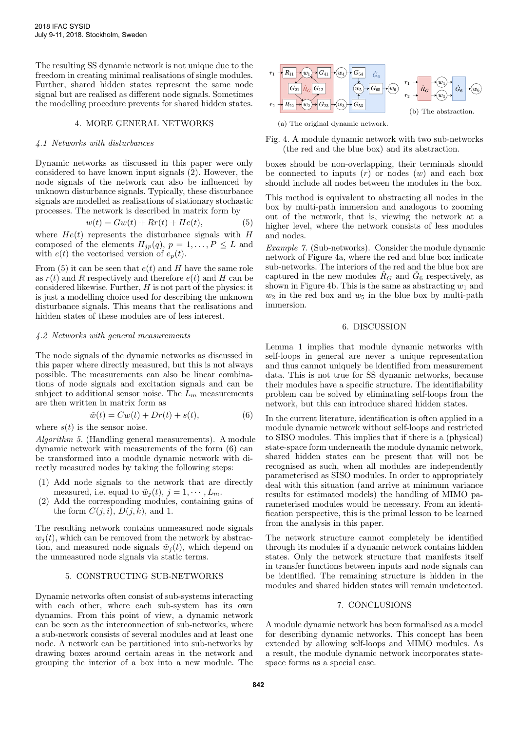The resulting SS dynamic network is not unique due to the freedom in creating minimal realisations of single modules. Further, shared hidden states represent the same node signal but are realised as different node signals. Sometimes the modelling procedure prevents for shared hidden states.

## 4. MORE GENERAL NETWORKS

#### 4.1 Networks with disturbances

Dynamic networks as discussed in this paper were only considered to have known input signals (2). However, the node signals of the network can also be influenced by unknown disturbance signals. Typically, these disturbance signals are modelled as realisations of stationary stochastic processes. The network is described in matrix form by

$$
w(t) = Gw(t) + Rr(t) + He(t), \tag{5}
$$

where  $He(t)$  represents the disturbance signals with H composed of the elements  $H_{jp}(q), p = 1, \ldots, P \leq L$  and with  $e(t)$  the vectorised version of  $e_p(t)$ .

From (5) it can be seen that  $e(t)$  and H have the same role as  $r(t)$  and R respectively and therefore  $e(t)$  and H can be considered likewise. Further,  $H$  is not part of the physics: it is just a modelling choice used for describing the unknown disturbance signals. This means that the realisations and hidden states of these modules are of less interest.

#### 4.2 Networks with general measurements

The node signals of the dynamic networks as discussed in this paper where directly measured, but this is not always possible. The measurements can also be linear combinations of node signals and excitation signals and can be subject to additional sensor noise. The  $L_m$  measurements are then written in matrix form as

$$
\tilde{w}(t) = Cw(t) + Dr(t) + s(t),\tag{6}
$$

where  $s(t)$  is the sensor noise.

Algorithm 5. (Handling general measurements). A module dynamic network with measurements of the form (6) can be transformed into a module dynamic network with directly measured nodes by taking the following steps:

- (1) Add node signals to the network that are directly measured, i.e. equal to  $\tilde{w}_j(t)$ ,  $j = 1, \dots, L_m$ .
- (2) Add the corresponding modules, containing gains of the form  $C(j, i)$ ,  $D(j, k)$ , and 1.

The resulting network contains unmeasured node signals  $w_i(t)$ , which can be removed from the network by abstraction, and measured node signals  $\tilde{w}_i(t)$ , which depend on the unmeasured node signals via static terms.

### 5. CONSTRUCTING SUB-NETWORKS

Dynamic networks often consist of sub-systems interacting with each other, where each sub-system has its own dynamics. From this point of view, a dynamic network can be seen as the interconnection of sub-networks, where a sub-network consists of several modules and at least one node. A network can be partitioned into sub-networks by drawing boxes around certain areas in the network and grouping the interior of a box into a new module. The



Fig. 4. A module dynamic network with two sub-networks (the red and the blue box) and its abstraction.

boxes should be non-overlapping, their terminals should be connected to inputs  $(r)$  or nodes  $(w)$  and each box should include all nodes between the modules in the box.

This method is equivalent to abstracting all nodes in the box by multi-path immersion and analogous to zooming out of the network, that is, viewing the network at a higher level, where the network consists of less modules and nodes.

Example 7. (Sub-networks). Consider the module dynamic network of Figure 4a, where the red and blue box indicate sub-networks. The interiors of the red and the blue box are captured in the new modules  $\hat{R}_G$  and  $\hat{G}_6$  respectively, as shown in Figure 4b. This is the same as abstracting  $w_1$  and  $w_2$  in the red box and  $w_5$  in the blue box by multi-path immersion.

## 6. DISCUSSION

Lemma 1 implies that module dynamic networks with self-loops in general are never a unique representation and thus cannot uniquely be identified from measurement data. This is not true for SS dynamic networks, because their modules have a specific structure. The identifiability problem can be solved by eliminating self-loops from the network, but this can introduce shared hidden states.

In the current literature, identification is often applied in a module dynamic network without self-loops and restricted to SISO modules. This implies that if there is a (physical) state-space form underneath the module dynamic network, shared hidden states can be present that will not be recognised as such, when all modules are independently parameterised as SISO modules. In order to appropriately deal with this situation (and arrive at minimum variance results for estimated models) the handling of MIMO parameterised modules would be necessary. From an identification perspective, this is the primal lesson to be learned from the analysis in this paper.

The network structure cannot completely be identified through its modules if a dynamic network contains hidden states. Only the network structure that manifests itself in transfer functions between inputs and node signals can be identified. The remaining structure is hidden in the modules and shared hidden states will remain undetected.

# 7. CONCLUSIONS

A module dynamic network has been formalised as a model for describing dynamic networks. This concept has been extended by allowing self-loops and MIMO modules. As a result, the module dynamic network incorporates statespace forms as a special case.